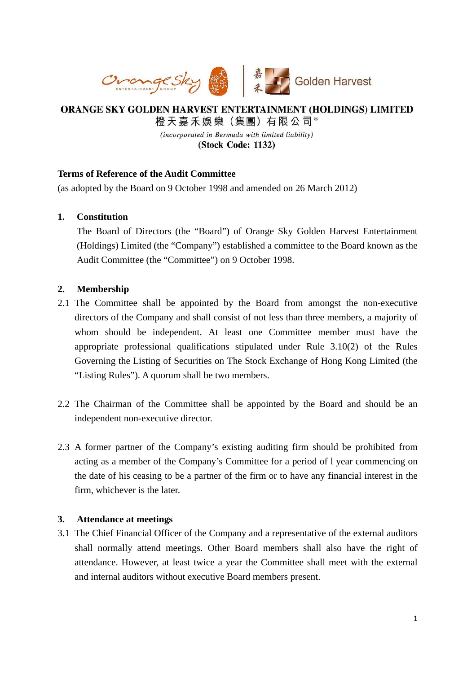

# ORANGE SKY GOLDEN HARVEST ENTERTAINMENT (HOLDINGS) LIMITED 橙天嘉禾娛樂 (集團) 有限公司\*

(incorporated in Bermuda with limited liability) (Stock Code: 1132)

## **Terms of Reference of the Audit Committee**

(as adopted by the Board on 9 October 1998 and amended on 26 March 2012)

## **1. Constitution**

The Board of Directors (the "Board") of Orange Sky Golden Harvest Entertainment (Holdings) Limited (the "Company") established a committee to the Board known as the Audit Committee (the "Committee") on 9 October 1998.

## **2. Membership**

- 2.1 The Committee shall be appointed by the Board from amongst the non-executive directors of the Company and shall consist of not less than three members, a majority of whom should be independent. At least one Committee member must have the appropriate professional qualifications stipulated under Rule 3.10(2) of the Rules Governing the Listing of Securities on The Stock Exchange of Hong Kong Limited (the "Listing Rules"). A quorum shall be two members.
- 2.2 The Chairman of the Committee shall be appointed by the Board and should be an independent non-executive director.
- 2.3 A former partner of the Company's existing auditing firm should be prohibited from acting as a member of the Company's Committee for a period of l year commencing on the date of his ceasing to be a partner of the firm or to have any financial interest in the firm, whichever is the later.

#### **3. Attendance at meetings**

3.1 The Chief Financial Officer of the Company and a representative of the external auditors shall normally attend meetings. Other Board members shall also have the right of attendance. However, at least twice a year the Committee shall meet with the external and internal auditors without executive Board members present.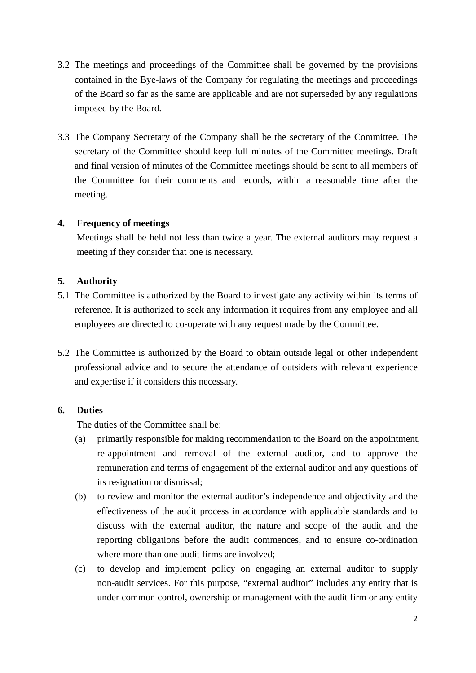- 3.2 The meetings and proceedings of the Committee shall be governed by the provisions contained in the Bye-laws of the Company for regulating the meetings and proceedings of the Board so far as the same are applicable and are not superseded by any regulations imposed by the Board.
- 3.3 The Company Secretary of the Company shall be the secretary of the Committee. The secretary of the Committee should keep full minutes of the Committee meetings. Draft and final version of minutes of the Committee meetings should be sent to all members of the Committee for their comments and records, within a reasonable time after the meeting.

## **4. Frequency of meetings**

Meetings shall be held not less than twice a year. The external auditors may request a meeting if they consider that one is necessary.

#### **5. Authority**

- 5.1 The Committee is authorized by the Board to investigate any activity within its terms of reference. It is authorized to seek any information it requires from any employee and all employees are directed to co-operate with any request made by the Committee.
- 5.2 The Committee is authorized by the Board to obtain outside legal or other independent professional advice and to secure the attendance of outsiders with relevant experience and expertise if it considers this necessary.

## **6. Duties**

The duties of the Committee shall be:

- (a) primarily responsible for making recommendation to the Board on the appointment, re-appointment and removal of the external auditor, and to approve the remuneration and terms of engagement of the external auditor and any questions of its resignation or dismissal;
- (b) to review and monitor the external auditor's independence and objectivity and the effectiveness of the audit process in accordance with applicable standards and to discuss with the external auditor, the nature and scope of the audit and the reporting obligations before the audit commences, and to ensure co-ordination where more than one audit firms are involved;
- (c) to develop and implement policy on engaging an external auditor to supply non-audit services. For this purpose, "external auditor" includes any entity that is under common control, ownership or management with the audit firm or any entity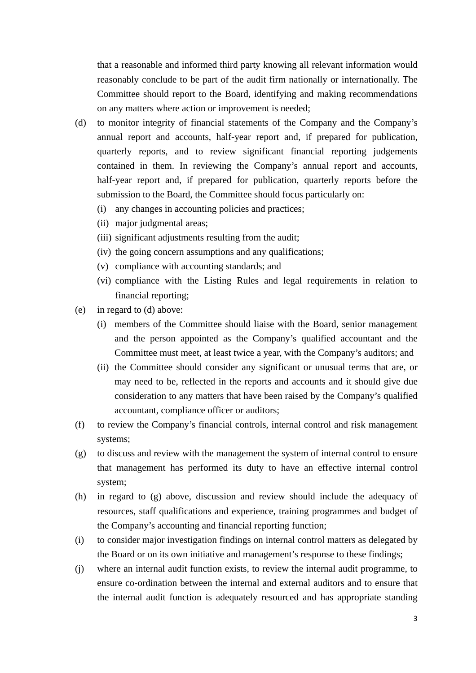that a reasonable and informed third party knowing all relevant information would reasonably conclude to be part of the audit firm nationally or internationally. The Committee should report to the Board, identifying and making recommendations on any matters where action or improvement is needed;

- (d) to monitor integrity of financial statements of the Company and the Company's annual report and accounts, half-year report and, if prepared for publication, quarterly reports, and to review significant financial reporting judgements contained in them. In reviewing the Company's annual report and accounts, half-year report and, if prepared for publication, quarterly reports before the submission to the Board, the Committee should focus particularly on:
	- (i) any changes in accounting policies and practices;
	- (ii) major judgmental areas;
	- (iii) significant adjustments resulting from the audit;
	- (iv) the going concern assumptions and any qualifications;
	- (v) compliance with accounting standards; and
	- (vi) compliance with the Listing Rules and legal requirements in relation to financial reporting;
- (e) in regard to (d) above:
	- (i) members of the Committee should liaise with the Board, senior management and the person appointed as the Company's qualified accountant and the Committee must meet, at least twice a year, with the Company's auditors; and
	- (ii) the Committee should consider any significant or unusual terms that are, or may need to be, reflected in the reports and accounts and it should give due consideration to any matters that have been raised by the Company's qualified accountant, compliance officer or auditors;
- (f) to review the Company's financial controls, internal control and risk management systems;
- (g) to discuss and review with the management the system of internal control to ensure that management has performed its duty to have an effective internal control system;
- (h) in regard to (g) above, discussion and review should include the adequacy of resources, staff qualifications and experience, training programmes and budget of the Company's accounting and financial reporting function;
- (i) to consider major investigation findings on internal control matters as delegated by the Board or on its own initiative and management's response to these findings;
- (j) where an internal audit function exists, to review the internal audit programme, to ensure co-ordination between the internal and external auditors and to ensure that the internal audit function is adequately resourced and has appropriate standing